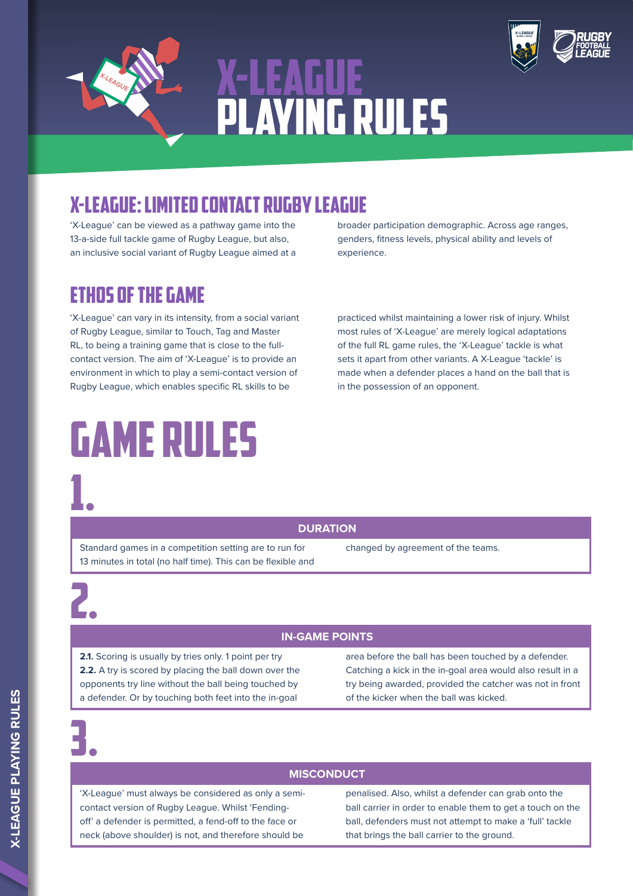





'X-League' can be viewed as a pathway game into the 13-a-side full tackle game of Rugby League, but also, an inclusive social variant of Rugby League aimed at a

### ETHOS OF THE GAME

'X-League' can vary in its intensity, from a social variant of Rugby League, similar to Touch, Tag and Master RL, to being a training game that is close to the fullcontact version. The aim of 'X-League' is to provide an environment in which to play a semi-contact version of Rugby League, which enables specific RL skills to be

# GAME RULES 1.

broader participation demographic. Across age ranges, genders, fitness levels, physical ability and levels of experience.

practiced whilst maintaining a lower risk of injury. Whilst most rules of 'X-League' are merely logical adaptations of the full RL game rules, the 'X-League' tackle is what sets it apart from other variants. A X-League 'tackle' is made when a defender places a hand on the ball that is in the possession of an opponent.

**DURATION**

Standard games in a competition setting are to run for 13 minutes in total (no half time). This can be flexible and changed by agreement of the teams.

2.

### **IN-GAME POINTS**

**2.1.** Scoring is usually by tries only. 1 point per try **2.2.** A try is scored by placing the ball down over the opponents try line without the ball being touched by a defender. Or by touching both feet into the in-goal

area before the ball has been touched by a defender. Catching a kick in the in-goal area would also result in a try being awarded, provided the catcher was not in front of the kicker when the ball was kicked.

3.

### **MISCONDUCT**

'X-League' must always be considered as only a semicontact version of Rugby League. Whilst 'Fendingoff' a defender is permitted, a fend-off to the face or neck (above shoulder) is not, and therefore should be

penalised. Also, whilst a defender can grab onto the ball carrier in order to enable them to get a touch on the ball, defenders must not attempt to make a 'full' tackle that brings the ball carrier to the ground.

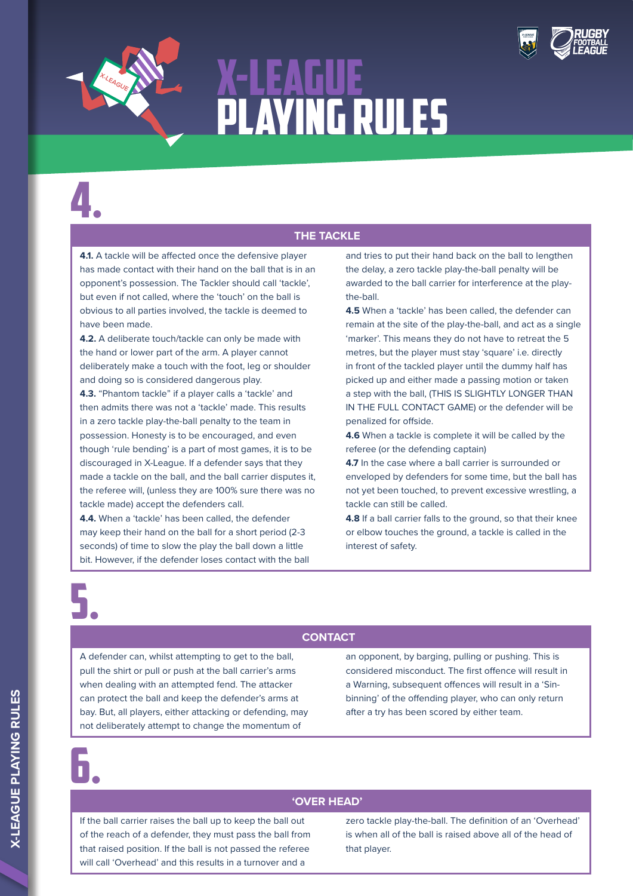



4.

#### **THE TACKLE**

**4.1.** A tackle will be affected once the defensive player has made contact with their hand on the ball that is in an opponent's possession. The Tackler should call 'tackle', but even if not called, where the 'touch' on the ball is obvious to all parties involved, the tackle is deemed to have been made.

**4.2.** A deliberate touch/tackle can only be made with the hand or lower part of the arm. A player cannot deliberately make a touch with the foot, leg or shoulder and doing so is considered dangerous play.

**4.3.** "Phantom tackle" if a player calls a 'tackle' and then admits there was not a 'tackle' made. This results in a zero tackle play-the-ball penalty to the team in possession. Honesty is to be encouraged, and even though 'rule bending' is a part of most games, it is to be discouraged in X-League. If a defender says that they made a tackle on the ball, and the ball carrier disputes it, the referee will, (unless they are 100% sure there was no tackle made) accept the defenders call.

**4.4.** When a 'tackle' has been called, the defender may keep their hand on the ball for a short period (2-3 seconds) of time to slow the play the ball down a little bit. However, if the defender loses contact with the ball and tries to put their hand back on the ball to lengthen the delay, a zero tackle play-the-ball penalty will be awarded to the ball carrier for interference at the playthe-ball.

**4.5** When a 'tackle' has been called, the defender can remain at the site of the play-the-ball, and act as a single 'marker'. This means they do not have to retreat the 5 metres, but the player must stay 'square' i.e. directly in front of the tackled player until the dummy half has picked up and either made a passing motion or taken a step with the ball, (THIS IS SLIGHTLY LONGER THAN IN THE FULL CONTACT GAME) or the defender will be penalized for offside.

**4.6** When a tackle is complete it will be called by the referee (or the defending captain)

**4.7** In the case where a ball carrier is surrounded or enveloped by defenders for some time, but the ball has not yet been touched, to prevent excessive wrestling, a tackle can still be called.

**4.8** If a ball carrier falls to the ground, so that their knee or elbow touches the ground, a tackle is called in the interest of safety.

5.

### **CONTACT**

A defender can, whilst attempting to get to the ball, pull the shirt or pull or push at the ball carrier's arms when dealing with an attempted fend. The attacker can protect the ball and keep the defender's arms at bay. But, all players, either attacking or defending, may not deliberately attempt to change the momentum of

an opponent, by barging, pulling or pushing. This is considered misconduct. The first offence will result in a Warning, subsequent offences will result in a 'Sinbinning' of the offending player, who can only return after a try has been scored by either team.

6.

### **'OVER HEAD'**

If the ball carrier raises the ball up to keep the ball out of the reach of a defender, they must pass the ball from that raised position. If the ball is not passed the referee will call 'Overhead' and this results in a turnover and a

zero tackle play-the-ball. The definition of an 'Overhead' is when all of the ball is raised above all of the head of that player.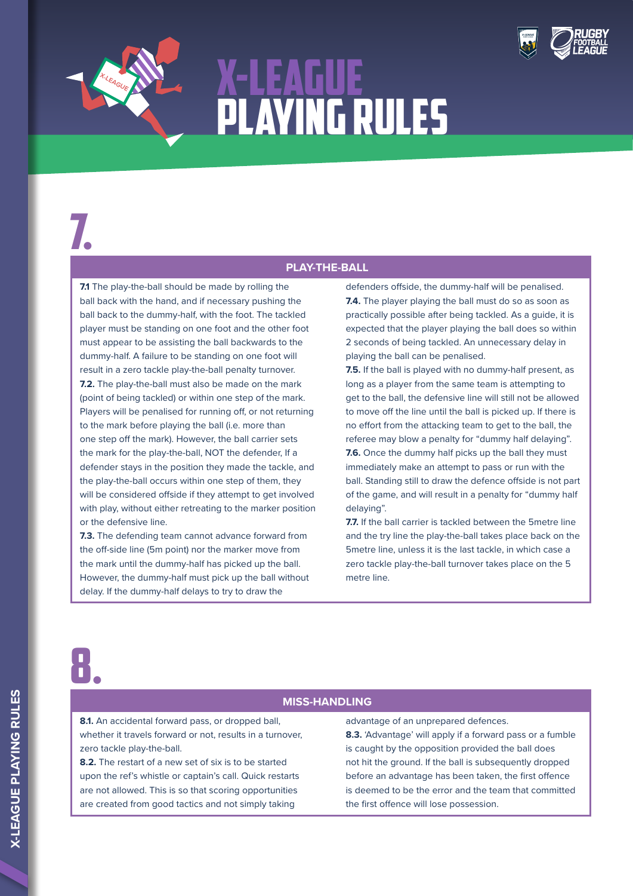

7.

### **PLAY-THE-BALL**

**7.1** The play-the-ball should be made by rolling the ball back with the hand, and if necessary pushing the ball back to the dummy-half, with the foot. The tackled player must be standing on one foot and the other foot must appear to be assisting the ball backwards to the dummy-half. A failure to be standing on one foot will result in a zero tackle play-the-ball penalty turnover. **7.2.** The play-the-ball must also be made on the mark (point of being tackled) or within one step of the mark. Players will be penalised for running off, or not returning to the mark before playing the ball (i.e. more than one step off the mark). However, the ball carrier sets the mark for the play-the-ball, NOT the defender, If a defender stays in the position they made the tackle, and the play-the-ball occurs within one step of them, they will be considered offside if they attempt to get involved with play, without either retreating to the marker position or the defensive line.

**7.3.** The defending team cannot advance forward from the off-side line (5m point) nor the marker move from the mark until the dummy-half has picked up the ball. However, the dummy-half must pick up the ball without delay. If the dummy-half delays to try to draw the

defenders offside, the dummy-half will be penalised. **7.4.** The player playing the ball must do so as soon as practically possible after being tackled. As a guide, it is expected that the player playing the ball does so within 2 seconds of being tackled. An unnecessary delay in playing the ball can be penalised.

**7.5.** If the ball is played with no dummy-half present, as long as a player from the same team is attempting to get to the ball, the defensive line will still not be allowed to move off the line until the ball is picked up. If there is no effort from the attacking team to get to the ball, the referee may blow a penalty for "dummy half delaying". **7.6.** Once the dummy half picks up the ball they must immediately make an attempt to pass or run with the ball. Standing still to draw the defence offside is not part of the game, and will result in a penalty for "dummy half delaying".

**7.7.** If the ball carrier is tackled between the 5metre line and the try line the play-the-ball takes place back on the 5metre line, unless it is the last tackle, in which case a zero tackle play-the-ball turnover takes place on the 5 metre line.

8.

### **MISS-HANDLING**

**8.1.** An accidental forward pass, or dropped ball, whether it travels forward or not, results in a turnover, zero tackle play-the-ball.

**8.2.** The restart of a new set of six is to be started upon the ref's whistle or captain's call. Quick restarts are not allowed. This is so that scoring opportunities are created from good tactics and not simply taking

advantage of an unprepared defences.

**8.3.** 'Advantage' will apply if a forward pass or a fumble is caught by the opposition provided the ball does not hit the ground. If the ball is subsequently dropped before an advantage has been taken, the first offence is deemed to be the error and the team that committed the first offence will lose possession.

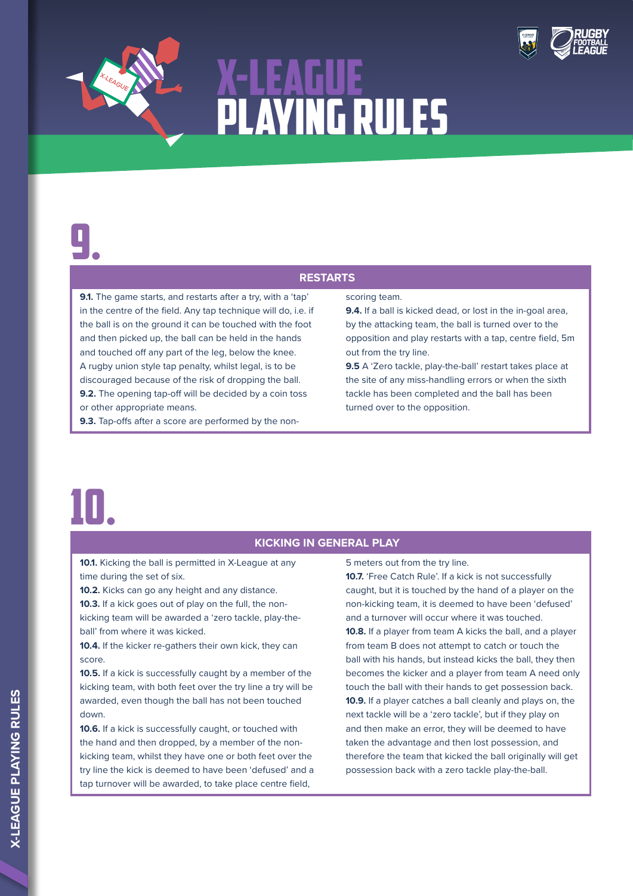

## 9.

### **RESTARTS**

**9.1.** The game starts, and restarts after a try, with a 'tap' in the centre of the field. Any tap technique will do, i.e. if the ball is on the ground it can be touched with the foot and then picked up, the ball can be held in the hands and touched off any part of the leg, below the knee. A rugby union style tap penalty, whilst legal, is to be discouraged because of the risk of dropping the ball. **9.2.** The opening tap-off will be decided by a coin toss or other appropriate means.

**9.3.** Tap-offs after a score are performed by the non-

#### scoring team.

**9.4.** If a ball is kicked dead, or lost in the in-goal area, by the attacking team, the ball is turned over to the opposition and play restarts with a tap, centre field, 5m out from the try line.

**9.5** A 'Zero tackle, play-the-ball' restart takes place at the site of any miss-handling errors or when the sixth tackle has been completed and the ball has been turned over to the opposition.

## 10.

### **KICKING IN GENERAL PLAY**

**10.1.** Kicking the ball is permitted in X-League at any time during the set of six.

**10.2.** Kicks can go any height and any distance. **10.3.** If a kick goes out of play on the full, the nonkicking team will be awarded a 'zero tackle, play-theball' from where it was kicked.

**10.4.** If the kicker re-gathers their own kick, they can score.

**10.5.** If a kick is successfully caught by a member of the kicking team, with both feet over the try line a try will be awarded, even though the ball has not been touched down.

**10.6.** If a kick is successfully caught, or touched with the hand and then dropped, by a member of the nonkicking team, whilst they have one or both feet over the try line the kick is deemed to have been 'defused' and a tap turnover will be awarded, to take place centre field,

5 meters out from the try line.

**10.7.** 'Free Catch Rule'. If a kick is not successfully caught, but it is touched by the hand of a player on the non-kicking team, it is deemed to have been 'defused' and a turnover will occur where it was touched. **10.8.** If a player from team A kicks the ball, and a player from team B does not attempt to catch or touch the ball with his hands, but instead kicks the ball, they then becomes the kicker and a player from team A need only touch the ball with their hands to get possession back. **10.9.** If a player catches a ball cleanly and plays on, the next tackle will be a 'zero tackle', but if they play on and then make an error, they will be deemed to have taken the advantage and then lost possession, and therefore the team that kicked the ball originally will get possession back with a zero tackle play-the-ball.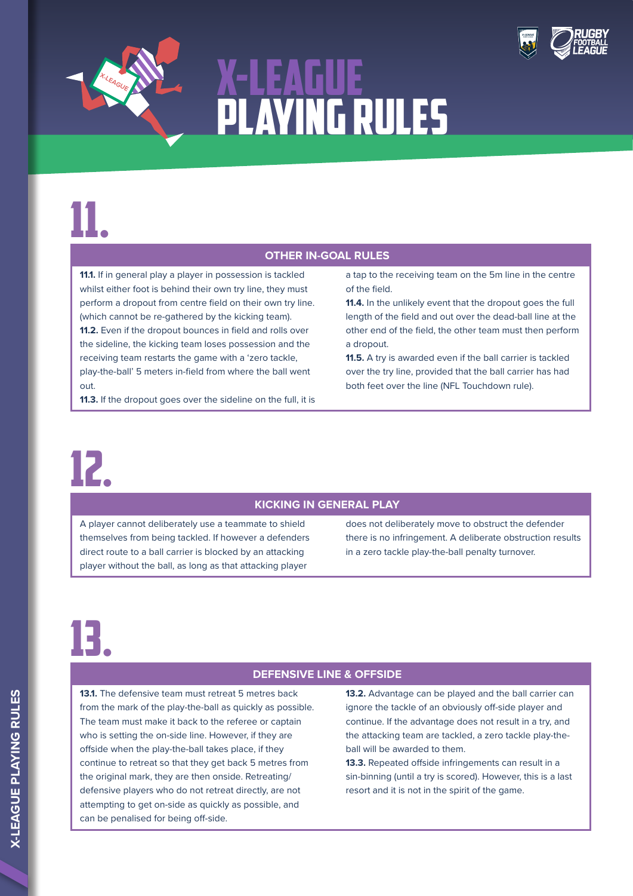



### **OTHER IN-GOAL RULES**

**11.1.** If in general play a player in possession is tackled whilst either foot is behind their own try line, they must perform a dropout from centre field on their own try line. (which cannot be re-gathered by the kicking team). **11.2.** Even if the dropout bounces in field and rolls over the sideline, the kicking team loses possession and the receiving team restarts the game with a 'zero tackle, play-the-ball' 5 meters in-field from where the ball went out.

**11.3.** If the dropout goes over the sideline on the full, it is

12.

### **KICKING IN GENERAL PLAY**

A player cannot deliberately use a teammate to shield themselves from being tackled. If however a defenders direct route to a ball carrier is blocked by an attacking player without the ball, as long as that attacking player

of the field. **11.4.** In the unlikely event that the dropout goes the full

a tap to the receiving team on the 5m line in the centre

length of the field and out over the dead-ball line at the other end of the field, the other team must then perform a dropout.

**11.5.** A try is awarded even if the ball carrier is tackled over the try line, provided that the ball carrier has had both feet over the line (NFL Touchdown rule).

does not deliberately move to obstruct the defender there is no infringement. A deliberate obstruction results in a zero tackle play-the-ball penalty turnover.

## 13.

### **DEFENSIVE LINE & OFFSIDE**

**13.1.** The defensive team must retreat 5 metres back from the mark of the play-the-ball as quickly as possible. The team must make it back to the referee or captain who is setting the on-side line. However, if they are offside when the play-the-ball takes place, if they continue to retreat so that they get back 5 metres from the original mark, they are then onside. Retreating/ defensive players who do not retreat directly, are not attempting to get on-side as quickly as possible, and can be penalised for being off-side.

**13.2.** Advantage can be played and the ball carrier can ignore the tackle of an obviously off-side player and continue. If the advantage does not result in a try, and the attacking team are tackled, a zero tackle play-theball will be awarded to them.

**13.3.** Repeated offside infringements can result in a sin-binning (until a try is scored). However, this is a last resort and it is not in the spirit of the game.

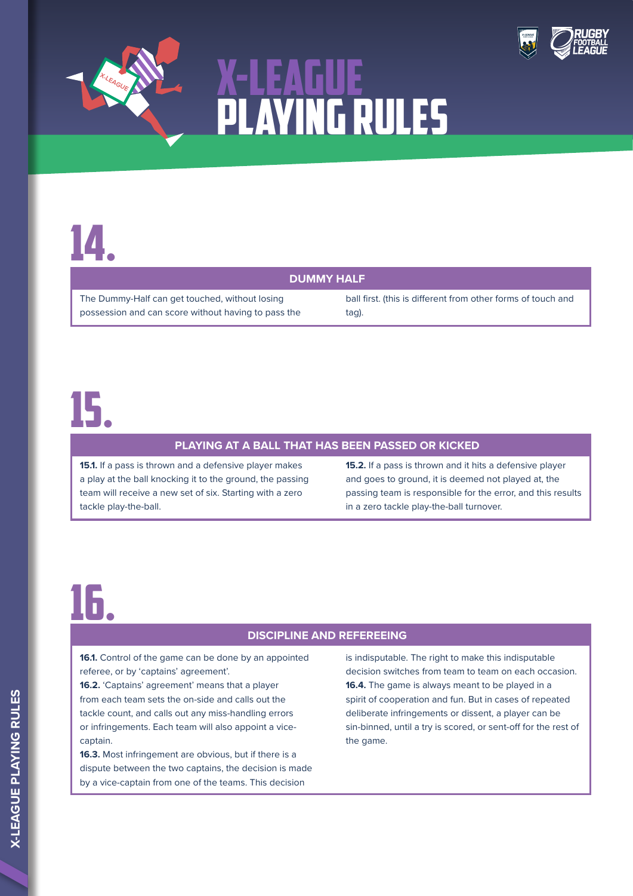



### **DUMMY HALF**

The Dummy-Half can get touched, without losing possession and can score without having to pass the

ball first. (this is different from other forms of touch and tag).

### 15.

#### **PLAYING AT A BALL THAT HAS BEEN PASSED OR KICKED**

**15.1.** If a pass is thrown and a defensive player makes a play at the ball knocking it to the ground, the passing team will receive a new set of six. Starting with a zero tackle play-the-ball.

**15.2.** If a pass is thrown and it hits a defensive player and goes to ground, it is deemed not played at, the passing team is responsible for the error, and this results in a zero tackle play-the-ball turnover.

### 16.

### **DISCIPLINE AND REFEREEING**

**16.1.** Control of the game can be done by an appointed referee, or by 'captains' agreement'.

**16.2.** 'Captains' agreement' means that a player from each team sets the on-side and calls out the tackle count, and calls out any miss-handling errors or infringements. Each team will also appoint a vicecaptain.

**16.3.** Most infringement are obvious, but if there is a dispute between the two captains, the decision is made by a vice-captain from one of the teams. This decision

is indisputable. The right to make this indisputable decision switches from team to team on each occasion. **16.4.** The game is always meant to be played in a spirit of cooperation and fun. But in cases of repeated deliberate infringements or dissent, a player can be sin-binned, until a try is scored, or sent-off for the rest of the game.

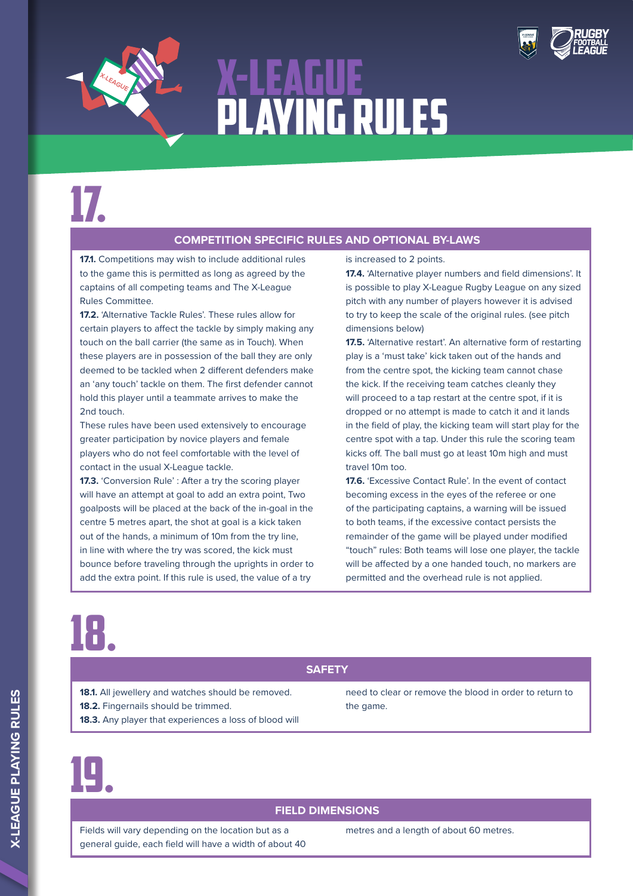



## 17.

### **COMPETITION SPECIFIC RULES AND OPTIONAL BY-LAWS**

**17.1.** Competitions may wish to include additional rules to the game this is permitted as long as agreed by the captains of all competing teams and The X-League Rules Committee.

**17.2.** 'Alternative Tackle Rules'. These rules allow for certain players to affect the tackle by simply making any touch on the ball carrier (the same as in Touch). When these players are in possession of the ball they are only deemed to be tackled when 2 different defenders make an 'any touch' tackle on them. The first defender cannot hold this player until a teammate arrives to make the 2nd touch.

These rules have been used extensively to encourage greater participation by novice players and female players who do not feel comfortable with the level of contact in the usual X-League tackle.

**17.3.** 'Conversion Rule' : After a try the scoring player will have an attempt at goal to add an extra point, Two goalposts will be placed at the back of the in-goal in the centre 5 metres apart, the shot at goal is a kick taken out of the hands, a minimum of 10m from the try line, in line with where the try was scored, the kick must bounce before traveling through the uprights in order to add the extra point. If this rule is used, the value of a try

is increased to 2 points.

**17.4.** 'Alternative player numbers and field dimensions'. It is possible to play X-League Rugby League on any sized pitch with any number of players however it is advised to try to keep the scale of the original rules. (see pitch dimensions below)

**17.5.** 'Alternative restart'. An alternative form of restarting play is a 'must take' kick taken out of the hands and from the centre spot, the kicking team cannot chase the kick. If the receiving team catches cleanly they will proceed to a tap restart at the centre spot, if it is dropped or no attempt is made to catch it and it lands in the field of play, the kicking team will start play for the centre spot with a tap. Under this rule the scoring team kicks off. The ball must go at least 10m high and must travel 10m too.

**17.6.** 'Excessive Contact Rule'. In the event of contact becoming excess in the eyes of the referee or one of the participating captains, a warning will be issued to both teams, if the excessive contact persists the remainder of the game will be played under modified "touch" rules: Both teams will lose one player, the tackle will be affected by a one handed touch, no markers are permitted and the overhead rule is not applied.

## 18.

### **SAFETY**

- **18.1.** All jewellery and watches should be removed. **18.2.** Fingernails should be trimmed.
- **18.3.** Any player that experiences a loss of blood will

need to clear or remove the blood in order to return to the game.

## 19.

### **FIELD DIMENSIONS**

Fields will vary depending on the location but as a general guide, each field will have a width of about 40 metres and a length of about 60 metres.